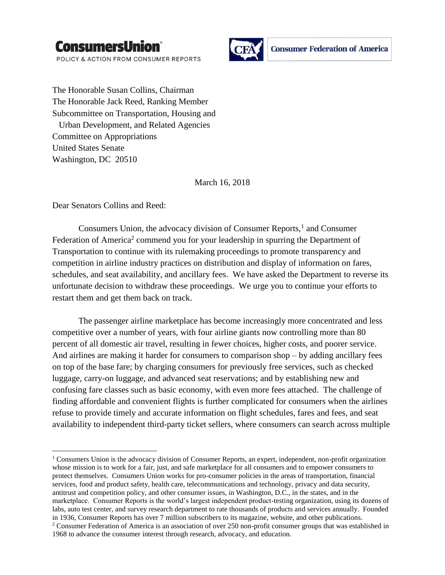

POLICY & ACTION FROM CONSUMER REPORTS



The Honorable Susan Collins, Chairman The Honorable Jack Reed, Ranking Member Subcommittee on Transportation, Housing and Urban Development, and Related Agencies Committee on Appropriations United States Senate Washington, DC 20510

March 16, 2018

Dear Senators Collins and Reed:

l

Consumers Union, the advocacy division of Consumer Reports,<sup>1</sup> and Consumer Federation of America<sup>2</sup> commend you for your leadership in spurring the Department of Transportation to continue with its rulemaking proceedings to promote transparency and competition in airline industry practices on distribution and display of information on fares, schedules, and seat availability, and ancillary fees. We have asked the Department to reverse its unfortunate decision to withdraw these proceedings. We urge you to continue your efforts to restart them and get them back on track.

The passenger airline marketplace has become increasingly more concentrated and less competitive over a number of years, with four airline giants now controlling more than 80 percent of all domestic air travel, resulting in fewer choices, higher costs, and poorer service. And airlines are making it harder for consumers to comparison shop – by adding ancillary fees on top of the base fare; by charging consumers for previously free services, such as checked luggage, carry-on luggage, and advanced seat reservations; and by establishing new and confusing fare classes such as basic economy, with even more fees attached. The challenge of finding affordable and convenient flights is further complicated for consumers when the airlines refuse to provide timely and accurate information on flight schedules, fares and fees, and seat availability to independent third-party ticket sellers, where consumers can search across multiple

<sup>&</sup>lt;sup>1</sup> Consumers Union is the advocacy division of Consumer Reports, an expert, independent, non-profit organization whose mission is to work for a fair, just, and safe marketplace for all consumers and to empower consumers to protect themselves. Consumers Union works for pro-consumer policies in the areas of transportation, financial services, food and product safety, health care, telecommunications and technology, privacy and data security, antitrust and competition policy, and other consumer issues, in Washington, D.C., in the states, and in the marketplace. Consumer Reports is the world's largest independent product-testing organization, using its dozens of labs, auto test center, and survey research department to rate thousands of products and services annually. Founded in 1936, Consumer Reports has over 7 million subscribers to its magazine, website, and other publications. <sup>2</sup> Consumer Federation of America is an association of over 250 non-profit consumer groups that was established in 1968 to advance the consumer interest through research, advocacy, and education.